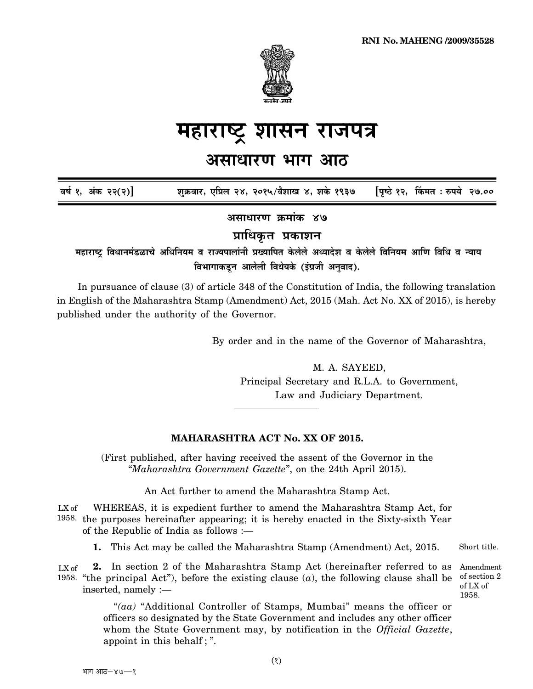

## <u>महाराष्ट्र शासन राजपत्र</u>

## <u>असाधारण भाग आठ</u>

 $\overline{a}$ र्ष १, अंक २२(२)] शुक्रवार, एप्रिल २४, २०१५/वैशाख ४, शके १९३७ [पृष्ठे १२, किंमत : रुपये २७.००

<u>असाधारण क्रमांक ४७</u>

**प्राधिकृत प्रकाशन** 

महाराष्ट्र विधानमंडळाचे अधिनियम व राज्यपालांनी प्रख्यापित केलेले अध्यादेश व केलेले विनियम आणि विधि व न्याय विभागाकडून आलेली विधेयके (इंग्रजी अनुवाद).

In pursuance of clause (3) of article 348 of the Constitution of India, the following translation in English of the Maharashtra Stamp (Amendment) Act, 2015 (Mah. Act No. XX of 2015), is hereby published under the authority of the Governor.

By order and in the name of the Governor of Maharashtra,

M. A. SAYEED, Principal Secretary and R.L.A. to Government, Law and Judiciary Department.

## **MAHARASHTRA ACT No. XX OF 2015.**

(First published, after having received the assent of the Governor in the "*Maharashtra Government Gazette*", on the 24th April 2015).

An Act further to amend the Maharashtra Stamp Act.

WHEREAS, it is expedient further to amend the Maharashtra Stamp Act, for 1958. the purposes hereinafter appearing; it is hereby enacted in the Sixty-sixth Year of the Republic of India as follows :— LX of

Short title. **1.** This Act may be called the Maharashtra Stamp (Amendment) Act, 2015.

**2.** In section 2 of the Maharashtra Stamp Act (hereinafter referred to as 1958. "the principal Act"), before the existing clause  $(a)$ , the following clause shall be of section inserted, namely :— LX of

Amendment of section 2 of LX of 1958.

"*(aa)* "Additional Controller of Stamps, Mumbai" means the officer or officers so designated by the State Government and includes any other officer whom the State Government may, by notification in the *Official Gazette*, appoint in this behalf ; ".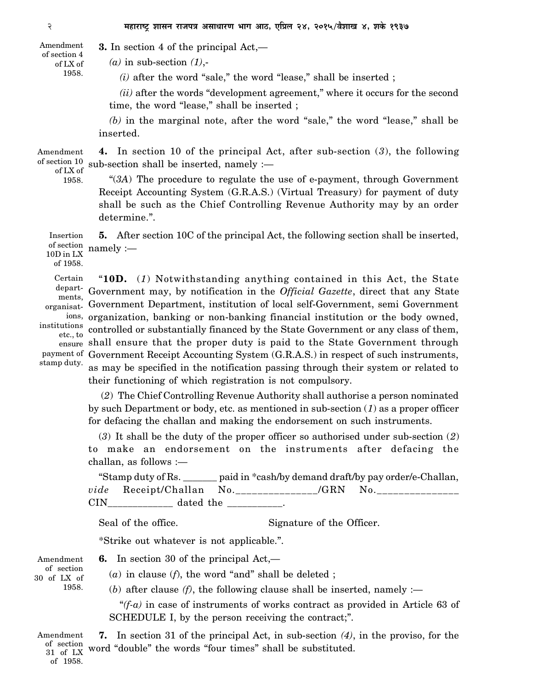**3.** In section 4 of the principal Act,— Amendment of section 4

*(a)* in sub-section *(1)*,-

*(i)* after the word "sale," the word "lease," shall be inserted ;

*(ii)* after the words "development agreement," where it occurs for the second time, the word "lease," shall be inserted ;

*(b)* in the marginal note, after the word "sale," the word "lease," shall be inserted.

**4.** In section 10 of the principal Act, after sub-section (*3*), the following sub-section shall be inserted, namely :— Amendment of section 10 of LX of

1958.

of LX of 1958.

> "(*3A*) The procedure to regulate the use of e-payment, through Government Receipt Accounting System (G.R.A.S.) (Virtual Treasury) for payment of duty shall be such as the Chief Controlling Revenue Authority may by an order determine.".

**5.** After section 10C of the principal Act, the following section shall be inserted, namely :— Insertion of section 10D in LX

of 1958.

Certain departments, organisatinstitutions etc., to stamp duty.

"**10D.** (*1*) Notwithstanding anything contained in this Act, the State Government may, by notification in the *Official Gazette*, direct that any State Government Department, institution of local self-Government, semi Government ions, organization, banking or non-banking financial institution or the body owned, controlled or substantially financed by the State Government or any class of them, <sub>ensure</sub> shall ensure that the proper duty is paid to the State Government through payment of Government Receipt Accounting System (G.R.A.S.) in respect of such instruments, as may be specified in the notification passing through their system or related to their functioning of which registration is not compulsory.

 (*2*) The Chief Controlling Revenue Authority shall authorise a person nominated by such Department or body, etc. as mentioned in sub-section (*1*) as a proper officer for defacing the challan and making the endorsement on such instruments.

(*3*) It shall be the duty of the proper officer so authorised under sub-section (*2*) to make an endorsement on the instruments after defacing the challan, as follows :—

| "Stamp duty of Rs. $\overline{\phantom{a}}$ |                                 | paid in *cash/by demand draft/by pay order/e-Challan, |  |      |                |  |
|---------------------------------------------|---------------------------------|-------------------------------------------------------|--|------|----------------|--|
|                                             | <i>vide</i> Receipt/Challan No. |                                                       |  | /GRN | N <sub>0</sub> |  |
| $\rm CIN$                                   | dated the                       |                                                       |  |      |                |  |

Seal of the office. Signature of the Officer.

\*Strike out whatever is not applicable.".

Amendment of section 30 of LX of 1958.

**6.** In section 30 of the principal Act,—

(*a*) in clause (*f*), the word "and" shall be deleted ;

(*b*) after clause  $(f)$ , the following clause shall be inserted, namely :—

"*(f-a)* in case of instruments of works contract as provided in Article 63 of SCHEDULE I, by the person receiving the contract;".

**7.** In section 31 of the principal Act, in sub-section *(4)*, in the proviso, for the word "double" the words "four times" shall be substituted. Amendment of section 31 of LX of 1958.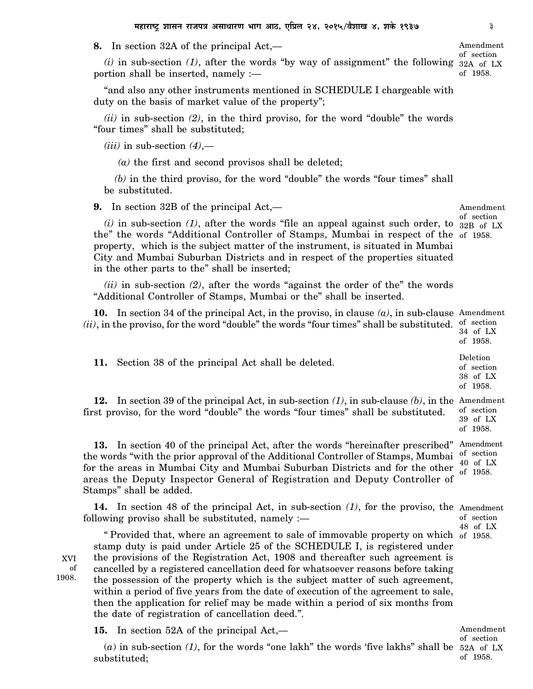**8.** In section 32A of the principal Act,—

 $(i)$  in sub-section  $(1)$ , after the words "by way of assignment" the following  $32A$  of LX portion shall be inserted, namely :—

"and also any other instruments mentioned in SCHEDULE I chargeable with duty on the basis of market value of the property";

*(ii)* in sub-section *(2)*, in the third proviso, for the word "double" the words "four times" shall be substituted;

 $(iii)$  in sub-section  $(4)$ ,—

 *(a)* the first and second provisos shall be deleted;

*(b)* in the third proviso, for the word "double" the words "four times" shall be substituted.

**9.** In section 32B of the principal Act,—

 $(i)$  in sub-section  $(1)$ , after the words "file an appeal against such order, to  $32B_{\text{off}}$  LX the" the words "Additional Controller of Stamps, Mumbai in respect of the of 1958. property, which is the subject matter of the instrument, is situated in Mumbai City and Mumbai Suburban Districts and in respect of the properties situated in the other parts to the" shall be inserted;

*(ii)* in sub-section *(2)*, after the words "against the order of the" the words "Additional Controller of Stamps, Mumbai or the" shall be inserted.

**10.** In section 34 of the principal Act, in the proviso, in clause *(a)*, in sub-clause Amendment  $(ii)$ , in the proviso, for the word "double" the words "four times" shall be substituted.  $\frac{1}{2}$  section 34 of LX

**11.** Section 38 of the principal Act shall be deleted.

**12.** In section 39 of the principal Act, in sub-section *(1)*, in sub-clause *(b)*, in the Amendment first proviso, for the word "double" the words "four times" shall be substituted. of section 39 of LX

**13.** In section 40 of the principal Act, after the words "hereinafter prescribed" Amendment the words "with the prior approval of the Additional Controller of Stamps, Mumbai for the areas in Mumbai City and Mumbai Suburban Districts and for the other areas the Deputy Inspector General of Registration and Deputy Controller of Stamps" shall be added. of section 40 of LX of 1958.

**14.** In section 48 of the principal Act, in sub-section *(1)*, for the proviso, the Amendment following proviso shall be substituted, namely : of section 48 of LX

XVI of 1908.

" Provided that, where an agreement to sale of immovable property on which of 1958. stamp duty is paid under Article 25 of the SCHEDULE I, is registered under the provisions of the Registration Act, 1908 and thereafter such agreement is cancelled by a registered cancellation deed for whatsoever reasons before taking the possession of the property which is the subject matter of such agreement, within a period of five years from the date of execution of the agreement to sale, then the application for relief may be made within a period of six months from the date of registration of cancellation deed.".

**15.** In section 52A of the principal Act,—

 $(a)$  in sub-section  $(1)$ , for the words "one lakh" the words 'five lakhs" shall be 52A of LX substituted;

Amendment of section

Amendment of section

of 1958. Deletion of section 38 of LX of 1958.

of 1958.

Amendment of section of 1958.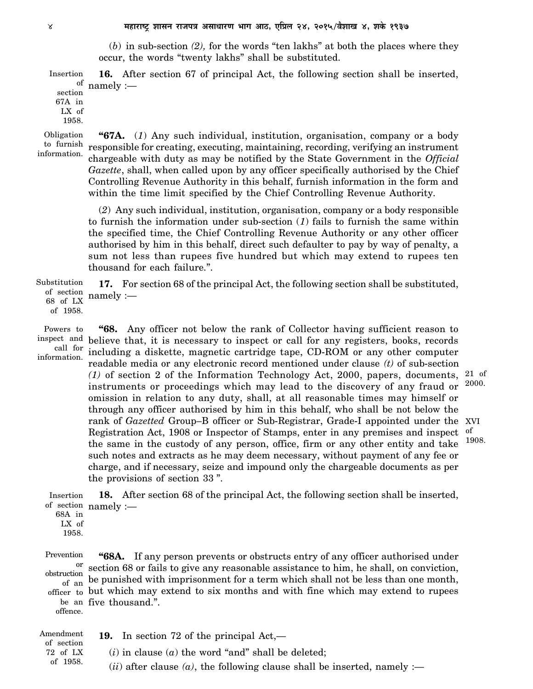(*b*) in sub-section *(2),* for the words "ten lakhs" at both the places where they occur, the words "twenty lakhs" shall be substituted.

**16.** After section 67 of principal Act, the following section shall be inserted, <sup>of</sup> namely :— Insertion

section 67A in LX of 1958.

Obligation to furnish information.

**"67A.** (*1*) Any such individual, institution, organisation, company or a body responsible for creating, executing, maintaining, recording, verifying an instrument chargeable with duty as may be notified by the State Government in the *Official Gazette*, shall, when called upon by any officer specifically authorised by the Chief Controlling Revenue Authority in this behalf, furnish information in the form and within the time limit specified by the Chief Controlling Revenue Authority.

(*2*) Any such individual, institution, organisation, company or a body responsible to furnish the information under sub-section (*1*) fails to furnish the same within the specified time, the Chief Controlling Revenue Authority or any other officer authorised by him in this behalf, direct such defaulter to pay by way of penalty, a sum not less than rupees five hundred but which may extend to rupees ten thousand for each failure.".

**17.** For section 68 of the principal Act, the following section shall be substituted, namely :— Substitution of section 68 of LX

Powers to inspect and call for

of 1958.

**"68.** Any officer not below the rank of Collector having sufficient reason to believe that, it is necessary to inspect or call for any registers, books, records including a diskette, magnetic cartridge tape, CD-ROM or any other computer readable media or any electronic record mentioned under clause *(t)* of sub-section *(1)* of section 2 of the Information Technology Act, 2000, papers, documents, instruments or proceedings which may lead to the discovery of any fraud or omission in relation to any duty, shall, at all reasonable times may himself or through any officer authorised by him in this behalf, who shall be not below the rank of *Gazetted* Group–B officer or Sub-Registrar, Grade-I appointed under the XVI Registration Act, 1908 or Inspector of Stamps, enter in any premises and inspect the same in the custody of any person, office, firm or any other entity and take such notes and extracts as he may deem necessary, without payment of any fee or charge, and if necessary, seize and impound only the chargeable documents as per the provisions of section 33 ". information. 21 of 2000. of 1908.

**18.** After section 68 of the principal Act, the following section shall be inserted, of section namely :-Insertion

68A in LX of 1958.

**"68A.** If any person prevents or obstructs entry of any officer authorised under <sup>or</sup> section 68 or fails to give any reasonable assistance to him, he shall, on conviction, be punished with imprisonment for a term which shall not be less than one month, but which may extend to six months and with fine which may extend to rupees officer to be an five thousand.". Prevention obstruction of an offence.

**19.** In section 72 of the principal Act,—  $(i)$  in clause  $(a)$  the word "and" shall be deleted;  $(iii)$  after clause  $(a)$ , the following clause shall be inserted, namely :— Amendment of section 72 of LX of 1958.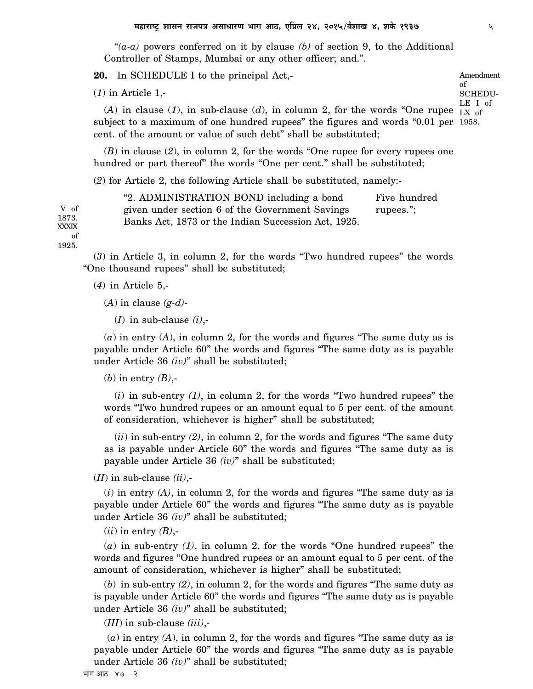"*(a-a)* powers conferred on it by clause *(b)* of section 9, to the Additional Controller of Stamps, Mumbai or any other officer; and.".

**20.** In SCHEDULE I to the principal Act,-

(*1*) in Article 1,-

 $(A)$  in clause  $(1)$ , in sub-clause  $(d)$ , in column 2, for the words "One rupee  $\overline{L}X$  of subject to a maximum of one hundred rupees" the figures and words "0.01 per 1958. cent. of the amount or value of such debt" shall be substituted; LE I of

(*B*) in clause (*2*), in column 2, for the words "One rupee for every rupees one hundred or part thereof" the words "One per cent." shall be substituted;

(*2*) for Article 2, the following Article shall be substituted, namely:-

| "2. ADMINISTRATION BOND including a bond<br>Five hundred     |  |
|--------------------------------------------------------------|--|
| given under section 6 of the Government Savings<br>rupees."; |  |
| Banks Act, 1873 or the Indian Succession Act, 1925.          |  |

1873. XXXIX of 1925.

V of

(*3*) in Article 3, in column 2, for the words "Two hundred rupees" the words "One thousand rupees" shall be substituted;

(*4*) in Article 5,-

(*A*) in clause *(g-d)*-

(*I*) in sub-clause *(i)*,-

(*a*) in entry (*A*), in column 2, for the words and figures "The same duty as is payable under Article 60" the words and figures "The same duty as is payable under Article 36 *(iv)*" shall be substituted;

(*b*) in entry *(B)*,-

(*i*) in sub-entry *(1)*, in column 2, for the words "Two hundred rupees" the words "Two hundred rupees or an amount equal to 5 per cent. of the amount of consideration, whichever is higher" shall be substituted;

(*ii*) in sub-entry *(2)*, in column 2, for the words and figures "The same duty as is payable under Article 60" the words and figures "The same duty as is payable under Article 36 *(iv)*" shall be substituted;

(*II*) in sub-clause *(ii)*,-

(*i*) in entry *(A)*, in column 2, for the words and figures "The same duty as is payable under Article 60" the words and figures "The same duty as is payable under Article 36 *(iv)*" shall be substituted;

(*ii*) in entry *(B)*,-

(*a*) in sub-entry *(1)*, in column 2, for the words "One hundred rupees" the words and figures "One hundred rupees or an amount equal to 5 per cent. of the amount of consideration, whichever is higher" shall be substituted;

(*b*) in sub-entry *(2)*, in column 2, for the words and figures "The same duty as is payable under Article 60" the words and figures "The same duty as is payable under Article 36 *(iv)*" shall be substituted;

(*III*) in sub-clause *(iii)*,-

(*a*) in entry *(A*), in column 2, for the words and figures "The same duty as is payable under Article 60" the words and figures "The same duty as is payable under Article 36 *(iv)*" shall be substituted;

Amendment

SCHEDU-

of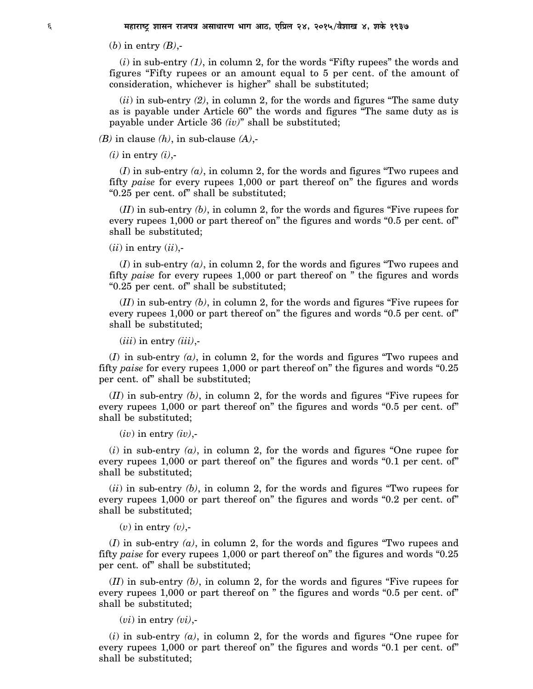(*b*) in entry *(B)*,-

(*i*) in sub-entry *(1)*, in column 2, for the words "Fifty rupees" the words and figures "Fifty rupees or an amount equal to 5 per cent. of the amount of consideration, whichever is higher" shall be substituted;

(*ii*) in sub-entry *(2)*, in column 2, for the words and figures "The same duty as is payable under Article 60" the words and figures "The same duty as is payable under Article 36 *(iv)*" shall be substituted;

*(B)* in clause *(h)*, in sub-clause *(A)*,-

 $(i)$  in entry  $(i)$ ,-

(*I*) in sub-entry *(a)*, in column 2, for the words and figures "Two rupees and fifty *paise* for every rupees 1,000 or part thereof on" the figures and words "0.25 per cent. of" shall be substituted;

(*II*) in sub-entry *(b)*, in column 2, for the words and figures "Five rupees for every rupees 1,000 or part thereof on" the figures and words "0.5 per cent. of" shall be substituted;

 $(ii)$  in entry  $(ii)$ ,-

(*I*) in sub-entry *(a)*, in column 2, for the words and figures "Two rupees and fifty *paise* for every rupees 1,000 or part thereof on " the figures and words "0.25 per cent. of" shall be substituted;

(*II*) in sub-entry *(b)*, in column 2, for the words and figures "Five rupees for every rupees 1,000 or part thereof on" the figures and words "0.5 per cent. of" shall be substituted;

(*iii*) in entry *(iii)*,-

 $(I)$  in sub-entry  $(a)$ , in column 2, for the words and figures "Two rupees and fifty *paise* for every rupees 1,000 or part thereof on" the figures and words "0.25 per cent. of" shall be substituted;

(*II*) in sub-entry *(b)*, in column 2, for the words and figures "Five rupees for every rupees 1,000 or part thereof on" the figures and words "0.5 per cent. of" shall be substituted;

 $(iv)$  in entry  $(iv)$ ,-

(*i*) in sub-entry *(a)*, in column 2, for the words and figures "One rupee for every rupees 1,000 or part thereof on" the figures and words "0.1 per cent. of" shall be substituted;

 $(iii)$  in sub-entry  $(b)$ , in column 2, for the words and figures "Two rupees for every rupees 1,000 or part thereof on" the figures and words "0.2 per cent. of" shall be substituted;

(*v*) in entry *(v)*,-

(*I*) in sub-entry *(a)*, in column 2, for the words and figures "Two rupees and fifty *paise* for every rupees 1,000 or part thereof on" the figures and words "0.25 per cent. of" shall be substituted;

(*II*) in sub-entry *(b)*, in column 2, for the words and figures "Five rupees for every rupees 1,000 or part thereof on " the figures and words "0.5 per cent. of" shall be substituted;

 $(vi)$  in entry  $(vi)$ ,-

(*i*) in sub-entry *(a)*, in column 2, for the words and figures "One rupee for every rupees 1,000 or part thereof on" the figures and words "0.1 per cent. of" shall be substituted;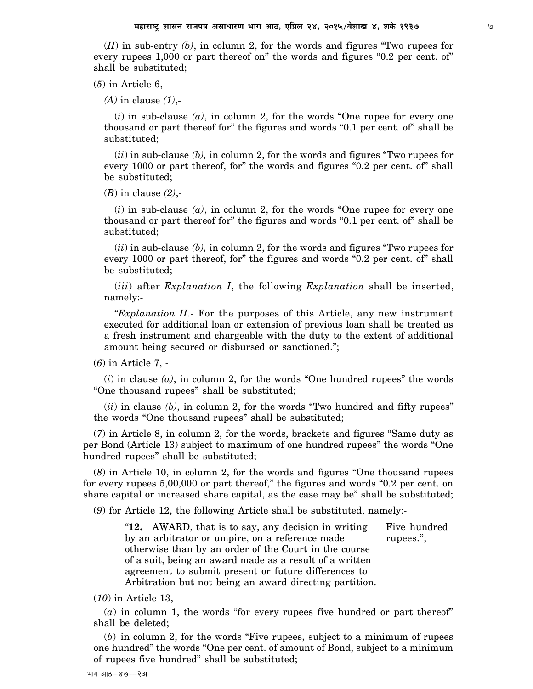(*II*) in sub-entry *(b)*, in column 2, for the words and figures "Two rupees for every rupees 1,000 or part thereof on" the words and figures "0.2 per cent. of" shall be substituted;

(*5*) in Article 6,-

*(A)* in clause *(1)*,-

(*i*) in sub-clause *(a)*, in column 2, for the words "One rupee for every one thousand or part thereof for" the figures and words "0.1 per cent. of" shall be substituted;

(*ii*) in sub-clause *(b),* in column 2, for the words and figures "Two rupees for every 1000 or part thereof, for" the words and figures "0.2 per cent. of" shall be substituted;

(*B*) in clause *(2)*,-

(*i*) in sub-clause *(a)*, in column 2, for the words "One rupee for every one thousand or part thereof for" the figures and words "0.1 per cent. of" shall be substituted;

(*ii*) in sub-clause *(b),* in column 2, for the words and figures "Two rupees for every 1000 or part thereof, for" the figures and words "0.2 per cent. of" shall be substituted;

(*iii*) after *Explanation I*, the following *Explanation* shall be inserted, namely:-

"*Explanation II*.- For the purposes of this Article, any new instrument executed for additional loan or extension of previous loan shall be treated as a fresh instrument and chargeable with the duty to the extent of additional amount being secured or disbursed or sanctioned.";

(*6*) in Article 7, -

 $(i)$  in clause  $(a)$ , in column 2, for the words "One hundred rupees" the words "One thousand rupees" shall be substituted;

 $(iii)$  in clause  $(b)$ , in column 2, for the words "Two hundred and fifty rupees" the words "One thousand rupees" shall be substituted;

(*7*) in Article 8, in column 2, for the words, brackets and figures "Same duty as per Bond (Article 13) subject to maximum of one hundred rupees" the words "One hundred rupees" shall be substituted;

(*8*) in Article 10, in column 2, for the words and figures "One thousand rupees for every rupees 5,00,000 or part thereof," the figures and words "0.2 per cent. on share capital or increased share capital, as the case may be" shall be substituted;

(*9*) for Article 12, the following Article shall be substituted, namely:-

"**12.** AWARD, that is to say, any decision in writing Five hundred by an arbitrator or umpire, on a reference made rupees."; otherwise than by an order of the Court in the course of a suit, being an award made as a result of a written agreement to submit present or future differences to Arbitration but not being an award directing partition.

(*10*) in Article 13,—

(*a*) in column 1, the words "for every rupees five hundred or part thereof" shall be deleted;

(*b*) in column 2, for the words "Five rupees, subject to a minimum of rupees one hundred" the words "One per cent. of amount of Bond, subject to a minimum of rupees five hundred" shall be substituted;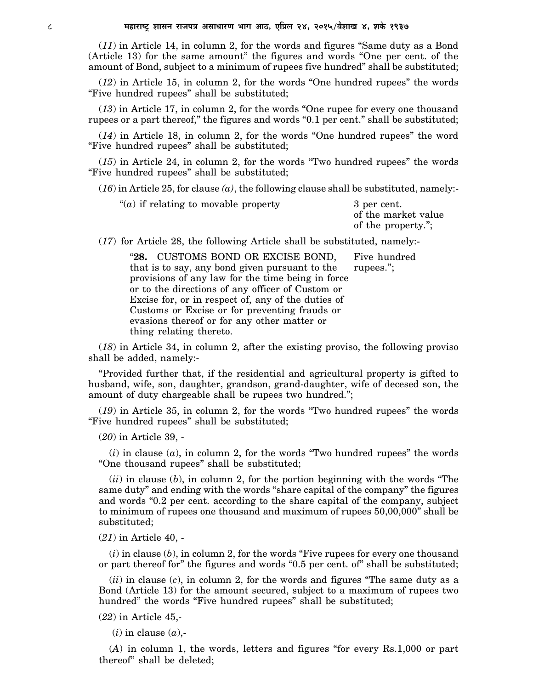(*11*) in Article 14, in column 2, for the words and figures "Same duty as a Bond (Article 13) for the same amount" the figures and words "One per cent. of the amount of Bond, subject to a minimum of rupees five hundred" shall be substituted;

(*12*) in Article 15, in column 2, for the words "One hundred rupees" the words "Five hundred rupees" shall be substituted;

(*13*) in Article 17, in column 2, for the words "One rupee for every one thousand rupees or a part thereof," the figures and words "0.1 per cent." shall be substituted;

(*14*) in Article 18, in column 2, for the words "One hundred rupees" the word "Five hundred rupees" shall be substituted;

(*15*) in Article 24, in column 2, for the words "Two hundred rupees" the words "Five hundred rupees" shall be substituted;

 $(16)$  in Article 25, for clause  $(a)$ , the following clause shall be substituted, namely:-

| "( <i>a</i> ) if relating to movable property | 3 per cent.         |
|-----------------------------------------------|---------------------|
|                                               | of the market value |
|                                               | of the property.";  |

(*17*) for Article 28, the following Article shall be substituted, namely:-

**28.** CUSTOMS BOND OR EXCISE BOND, Five hundred that is to say, any bond given pursuant to the rupees."; that is to say, any bond given pursuant to the provisions of any law for the time being in force or to the directions of any officer of Custom or Excise for, or in respect of, any of the duties of Customs or Excise or for preventing frauds or evasions thereof or for any other matter or thing relating thereto.

(*18*) in Article 34, in column 2, after the existing proviso, the following proviso shall be added, namely:-

"Provided further that, if the residential and agricultural property is gifted to husband, wife, son, daughter, grandson, grand-daughter, wife of decesed son, the amount of duty chargeable shall be rupees two hundred.";

(*19*) in Article 35, in column 2, for the words "Two hundred rupees" the words "Five hundred rupees" shall be substituted;

(*20*) in Article 39, -

 $(i)$  in clause  $(a)$ , in column 2, for the words "Two hundred rupees" the words "One thousand rupees" shall be substituted;

 $(ii)$  in clause  $(b)$ , in column 2, for the portion beginning with the words "The same duty" and ending with the words "share capital of the company" the figures and words "0.2 per cent. according to the share capital of the company, subject to minimum of rupees one thousand and maximum of rupees 50,00,000" shall be substituted;

(*21*) in Article 40, -

(*i*) in clause (*b*), in column 2, for the words "Five rupees for every one thousand or part thereof for" the figures and words "0.5 per cent. of" shall be substituted;

(*ii*) in clause (*c*), in column 2, for the words and figures "The same duty as a Bond (Article 13) for the amount secured, subject to a maximum of rupees two hundred" the words "Five hundred rupees" shall be substituted;

(*22*) in Article 45,-

(*i*) in clause (*a*),-

(*A*) in column 1, the words, letters and figures "for every Rs.1,000 or part thereof" shall be deleted;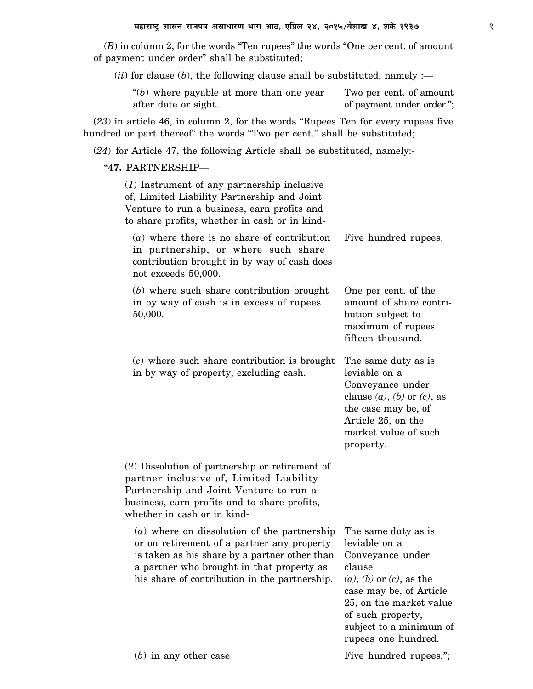(*B*) in column 2, for the words "Ten rupees" the words "One per cent. of amount of payment under order" shall be substituted;

 $(iii)$  for clause (*b*), the following clause shall be substituted, namely :-

" $(b)$  where payable at more than one year Two per cent. of amount after date or sight.  $\qquad \qquad$  of payment under order.";

(*23*) in article 46, in column 2, for the words "Rupees Ten for every rupees five hundred or part thereof" the words "Two per cent." shall be substituted;

(*24*) for Article 47, the following Article shall be substituted, namely:-

"**47.** PARTNERSHIP—

| $(1)$ Instrument of any partnership inclusive<br>of, Limited Liability Partnership and Joint<br>Venture to run a business, earn profits and<br>to share profits, whether in cash or in kind-                                               |                                                                                                                                                                                                                                    |
|--------------------------------------------------------------------------------------------------------------------------------------------------------------------------------------------------------------------------------------------|------------------------------------------------------------------------------------------------------------------------------------------------------------------------------------------------------------------------------------|
| $(a)$ where there is no share of contribution<br>in partnership, or where such share<br>contribution brought in by way of cash does<br>not exceeds 50,000.                                                                                 | Five hundred rupees.                                                                                                                                                                                                               |
| $(b)$ where such share contribution brought<br>in by way of cash is in excess of rupees<br>50,000.                                                                                                                                         | One per cent. of the<br>amount of share contri-<br>bution subject to<br>maximum of rupees<br>fifteen thousand.                                                                                                                     |
| $(c)$ where such share contribution is brought<br>in by way of property, excluding cash.                                                                                                                                                   | The same duty as is<br>leviable on a<br>Conveyance under<br>clause $(a)$ , $(b)$ or $(c)$ , as<br>the case may be, of<br>Article 25, on the<br>market value of such<br>property.                                                   |
| $(2)$ Dissolution of partnership or retirement of<br>partner inclusive of, Limited Liability<br>Partnership and Joint Venture to run a<br>business, earn profits and to share profits,<br>whether in cash or in kind-                      |                                                                                                                                                                                                                                    |
| $(a)$ where on dissolution of the partnership<br>or on retirement of a partner any property<br>is taken as his share by a partner other than<br>a partner who brought in that property as<br>his share of contribution in the partnership. | The same duty as is<br>leviable on a<br>Conveyance under<br>clause<br>$(a)$ , $(b)$ or $(c)$ , as the<br>case may be, of Article<br>25, on the market value<br>of such property,<br>subject to a minimum of<br>rupees one hundred. |
| $(b)$ in any other case                                                                                                                                                                                                                    | Five hundred rupees.";                                                                                                                                                                                                             |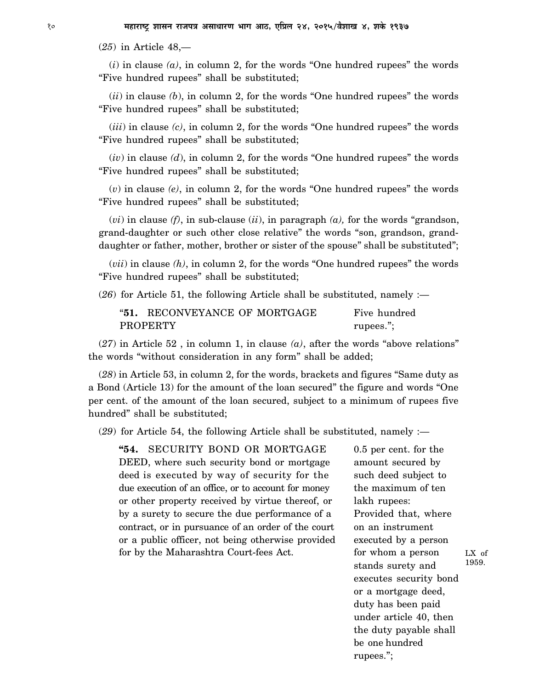(*25*) in Article 48,—

 $(i)$  in clause  $(a)$ , in column 2, for the words "One hundred rupees" the words "Five hundred rupees" shall be substituted;

(*ii*) in clause *(b*), in column 2, for the words "One hundred rupees" the words "Five hundred rupees" shall be substituted;

(*iii*) in clause *(c)*, in column 2, for the words "One hundred rupees" the words "Five hundred rupees" shall be substituted;

(*iv*) in clause *(d*), in column 2, for the words "One hundred rupees" the words "Five hundred rupees" shall be substituted;

(*v*) in clause *(e)*, in column 2, for the words "One hundred rupees" the words "Five hundred rupees" shall be substituted;

(*vi*) in clause *(f)*, in sub-clause (*ii*), in paragraph *(a),* for the words "grandson, grand-daughter or such other close relative" the words "son, grandson, granddaughter or father, mother, brother or sister of the spouse" shall be substituted";

(*vii*) in clause *(h)*, in column 2, for the words "One hundred rupees" the words "Five hundred rupees" shall be substituted;

(*26*) for Article 51, the following Article shall be substituted, namely :—

| "51. RECONVEYANCE OF MORTGAGE | Five hundred |
|-------------------------------|--------------|
| PROPERTY                      | rupees.";    |

(*27*) in Article 52 , in column 1, in clause *(a)*, after the words "above relations" the words "without consideration in any form" shall be added;

(*28*) in Article 53, in column 2, for the words, brackets and figures "Same duty as a Bond (Article 13) for the amount of the loan secured" the figure and words "One per cent. of the amount of the loan secured, subject to a minimum of rupees five hundred" shall be substituted;

(*29*) for Article 54, the following Article shall be substituted, namely :—

**"54.** SECURITY BOND OR MORTGAGE 0.5 per cent. for the DEED, where such security bond or mortgage amount secured by deed is executed by way of security for the such deed subject to due execution of an office, or to account for money the maximum of ten or other property received by virtue thereof, or lakh rupees: by a surety to secure the due performance of a Provided that, where contract, or in pursuance of an order of the court on an instrument or a public officer, not being otherwise provided executed by a person for by the Maharashtra Court-fees Act. for whom a person

stands surety and executes security bond or a mortgage deed, duty has been paid under article 40, then the duty payable shall be one hundred rupees."; LX of 1959.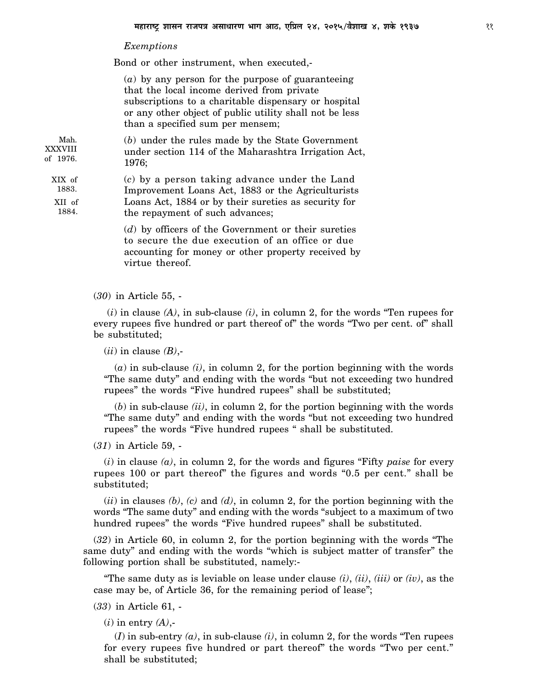## *Exemptions*

Bond or other instrument, when executed,-

(*a*) by any person for the purpose of guaranteeing that the local income derived from private subscriptions to a charitable dispensary or hospital or any other object of public utility shall not be less than a specified sum per mensem;

(*b*) under the rules made by the State Government under section 114 of the Maharashtra Irrigation Act, 1976; Mah. XXXVIII of 1976.

(*c*) by a person taking advance under the Land Improvement Loans Act, 1883 or the Agriculturists Loans Act, 1884 or by their sureties as security for the repayment of such advances; 1883. XII of 1884.

> (*d*) by officers of the Government or their sureties to secure the due execution of an office or due accounting for money or other property received by virtue thereof.

(*30*) in Article 55, -

 (*i*) in clause *(A)*, in sub-clause *(i)*, in column 2, for the words "Ten rupees for every rupees five hundred or part thereof of" the words "Two per cent. of" shall be substituted;

(*ii*) in clause *(B)*,-

(*a*) in sub-clause *(i)*, in column 2, for the portion beginning with the words "The same duty" and ending with the words "but not exceeding two hundred rupees" the words "Five hundred rupees" shall be substituted;

(*b*) in sub-clause *(ii)*, in column 2, for the portion beginning with the words "The same duty" and ending with the words "but not exceeding two hundred rupees" the words "Five hundred rupees " shall be substituted.

(*31*) in Article 59, -

(*i*) in clause *(a)*, in column 2, for the words and figures "Fifty *paise* for every rupees 100 or part thereof" the figures and words "0.5 per cent." shall be substituted;

(*ii*) in clauses *(b)*, *(c)* and *(d)*, in column 2, for the portion beginning with the words "The same duty" and ending with the words "subject to a maximum of two hundred rupees" the words "Five hundred rupees" shall be substituted.

(*32*) in Article 60, in column 2, for the portion beginning with the words "The same duty" and ending with the words "which is subject matter of transfer" the following portion shall be substituted, namely:-

"The same duty as is leviable on lease under clause *(i)*, *(ii)*, *(iii)* or *(iv)*, as the case may be, of Article 36, for the remaining period of lease";

(*33*) in Article 61, -

(*i*) in entry *(A)*,-

 $(I)$  in sub-entry  $(a)$ , in sub-clause  $(i)$ , in column 2, for the words "Ten rupees" for every rupees five hundred or part thereof" the words "Two per cent." shall be substituted;

XIX of